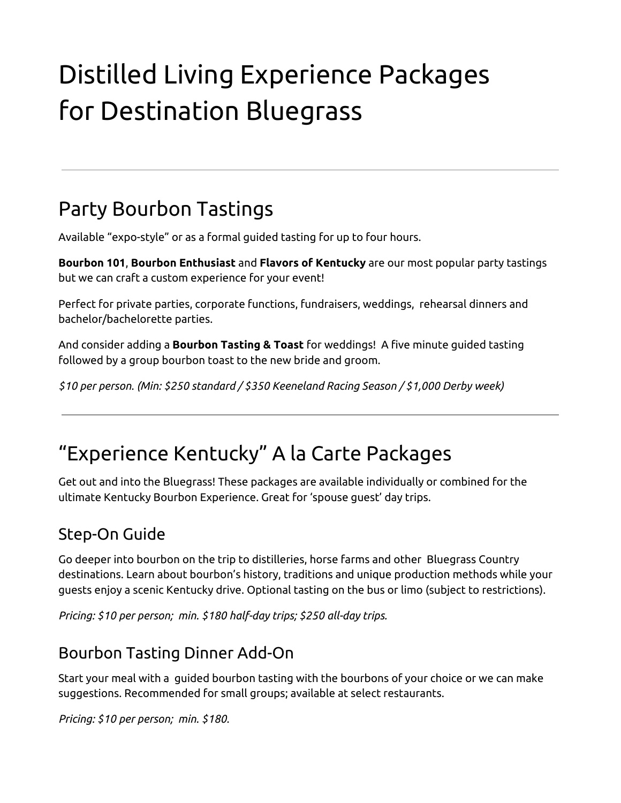# Distilled Living Experience Packages for Destination Bluegrass

## Party Bourbon Tastings

Available "expo-style" or as a formal guided tasting for up to four hours.

**Bourbon 101**, **Bourbon Enthusiast** and **Flavors of Kentucky** are our most popular party tastings but we can craft a custom experience for your event!

Perfect for private parties, corporate functions, fundraisers, weddings, rehearsal dinners and bachelor/bachelorette parties.

And consider adding a **Bourbon Tasting & Toast** for weddings! A five minute guided tasting followed by a group bourbon toast to the new bride and groom.

*\$10 per person. (Min: \$250 standard / \$350 Keeneland Racing Season / \$1,000 Derby week)*

## "Experience Kentucky" A la Carte Packages

Get out and into the Bluegrass! These packages are available individually or combined for the ultimate Kentucky Bourbon Experience. Great for 'spouse guest' day trips.

#### Step-On Guide

Go deeper into bourbon on the trip to distilleries, horse farms and other Bluegrass Country destinations. Learn about bourbon's history, traditions and unique production methods while your guests enjoy a scenic Kentucky drive. Optional tasting on the bus or limo (subject to restrictions).

*Pricing: \$10 per person; min. \$180 half-day trips; \$250 all-day trips.*

### Bourbon Tasting Dinner Add-On

Start your meal with a guided bourbon tasting with the bourbons of your choice or we can make suggestions. Recommended for small groups; available at select restaurants.

*Pricing: \$10 per person; min. \$180.*